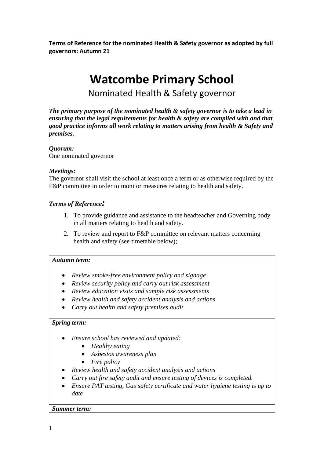**Terms of Reference for the nominated Health & Safety governor as adopted by full governors: Autumn 21**

# **Watcombe Primary School**

Nominated Health & Safety governor

*The primary purpose of the nominated health & safety governor is to take a lead in ensuring that the legal requirements for health & safety are complied with and that good practice informs all work relating to matters arising from health & Safety and premises.* 

# *Quorum:*

One nominated governor

# *Meetings:*

The governor shall visit the school at least once a term or as otherwise required by the F&P committee in order to monitor measures relating to health and safety.

# *Terms of Reference:*

- 1. To provide guidance and assistance to the headteacher and Governing body in all matters relating to health and safety.
- 2. To review and report to F&P committee on relevant matters concerning health and safety (see timetable below);

### *Autumn term:*

- *Review smoke-free environment policy and signage*
- *Review security policy and carry out risk assessment*
- *Review education visits and sample risk assessments*
- *Review health and safety accident analysis and actions*
- *Carry out health and safety premises audit*

### *Spring term:*

- *Ensure school has reviewed and updated:*
	- *Healthy eating*
	- *Asbestos awareness plan*
	- *Fire policy*
- *Review health and safety accident analysis and actions*
- *Carry out fire safety audit and ensure testing of devices is completed.*
- *Ensure PAT testing, Gas safety certificate and water hygiene testing is up to date*

### *Summer term:*